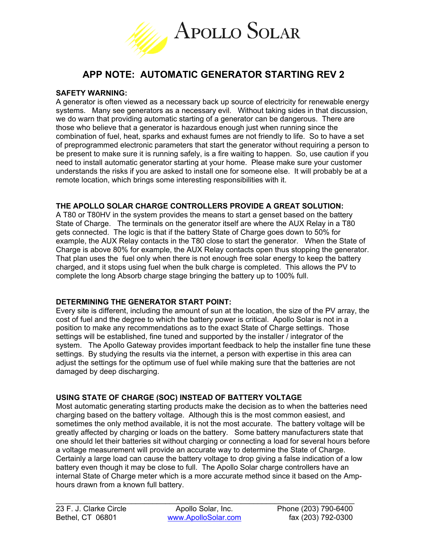

# **APP NOTE: AUTOMATIC GENERATOR STARTING REV 2**

#### **SAFETY WARNING:**

A generator is often viewed as a necessary back up source of electricity for renewable energy systems. Many see generators as a necessary evil. Without taking sides in that discussion, we do warn that providing automatic starting of a generator can be dangerous. There are those who believe that a generator is hazardous enough just when running since the combination of fuel, heat, sparks and exhaust fumes are not friendly to life. So to have a set of preprogrammed electronic parameters that start the generator without requiring a person to be present to make sure it is running safely, is a fire waiting to happen. So, use caution if you need to install automatic generator starting at your home. Please make sure your customer understands the risks if you are asked to install one for someone else. It will probably be at a remote location, which brings some interesting responsibilities with it.

# **THE APOLLO SOLAR CHARGE CONTROLLERS PROVIDE A GREAT SOLUTION:**

A T80 or T80HV in the system provides the means to start a genset based on the battery State of Charge. The terminals on the generator itself are where the AUX Relay in a T80 gets connected. The logic is that if the battery State of Charge goes down to 50% for example, the AUX Relay contacts in the T80 close to start the generator. When the State of Charge is above 80% for example, the AUX Relay contacts open thus stopping the generator. That plan uses the fuel only when there is not enough free solar energy to keep the battery charged, and it stops using fuel when the bulk charge is completed. This allows the PV to complete the long Absorb charge stage bringing the battery up to 100% full.

# **DETERMINING THE GENERATOR START POINT:**

Every site is different, including the amount of sun at the location, the size of the PV array, the cost of fuel and the degree to which the battery power is critical. Apollo Solar is not in a position to make any recommendations as to the exact State of Charge settings. Those settings will be established, fine tuned and supported by the installer / integrator of the system. The Apollo Gateway provides important feedback to help the installer fine tune these settings. By studying the results via the internet, a person with expertise in this area can adjust the settings for the optimum use of fuel while making sure that the batteries are not damaged by deep discharging.

# **USING STATE OF CHARGE (SOC) INSTEAD OF BATTERY VOLTAGE**

Most automatic generating starting products make the decision as to when the batteries need charging based on the battery voltage. Although this is the most common easiest, and sometimes the only method available, it is not the most accurate. The battery voltage will be greatly affected by charging or loads on the battery. Some battery manufacturers state that one should let their batteries sit without charging or connecting a load for several hours before a voltage measurement will provide an accurate way to determine the State of Charge. Certainly a large load can cause the battery voltage to drop giving a false indication of a low battery even though it may be close to full. The Apollo Solar charge controllers have an internal State of Charge meter which is a more accurate method since it based on the Amphours drawn from a known full battery.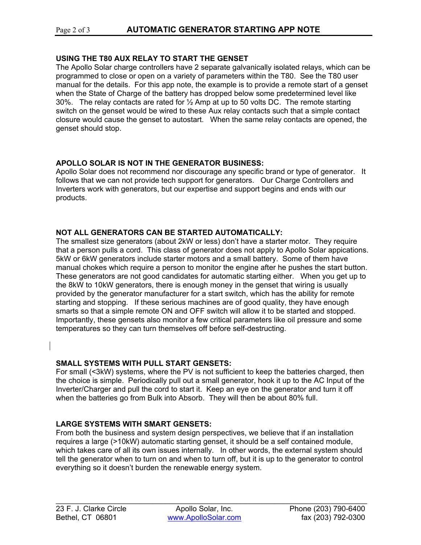# Page 2 of 3 **AUTOMATIC GENERATOR STARTING APP NOTE**

#### **USING THE T80 AUX RELAY TO START THE GENSET**

The Apollo Solar charge controllers have 2 separate galvanically isolated relays, which can be programmed to close or open on a variety of parameters within the T80. See the T80 user manual for the details. For this app note, the example is to provide a remote start of a genset when the State of Charge of the battery has dropped below some predetermined level like 30%. The relay contacts are rated for  $\frac{1}{2}$  Amp at up to 50 volts DC. The remote starting switch on the genset would be wired to these Aux relay contacts such that a simple contact closure would cause the genset to autostart. When the same relay contacts are opened, the genset should stop.

#### **APOLLO SOLAR IS NOT IN THE GENERATOR BUSINESS:**

Apollo Solar does not recommend nor discourage any specific brand or type of generator. It follows that we can not provide tech support for generators. Our Charge Controllers and Inverters work with generators, but our expertise and support begins and ends with our products.

#### **NOT ALL GENERATORS CAN BE STARTED AUTOMATICALLY:**

The smallest size generators (about 2kW or less) don't have a starter motor. They require that a person pulls a cord. This class of generator does not apply to Apollo Solar appications. 5kW or 6kW generators include starter motors and a small battery. Some of them have manual chokes which require a person to monitor the engine after he pushes the start button. These generators are not good candidates for automatic starting either. When you get up to the 8kW to 10kW generators, there is enough money in the genset that wiring is usually provided by the generator manufacturer for a start switch, which has the ability for remote starting and stopping. If these serious machines are of good quality, they have enough smarts so that a simple remote ON and OFF switch will allow it to be started and stopped. Importantly, these gensets also monitor a few critical parameters like oil pressure and some temperatures so they can turn themselves off before self-destructing.

#### **SMALL SYSTEMS WITH PULL START GENSETS:**

For small (<3kW) systems, where the PV is not sufficient to keep the batteries charged, then the choice is simple. Periodically pull out a small generator, hook it up to the AC Input of the Inverter/Charger and pull the cord to start it. Keep an eye on the generator and turn it off when the batteries go from Bulk into Absorb. They will then be about 80% full.

# **LARGE SYSTEMS WITH SMART GENSETS:**

From both the business and system design perspectives, we believe that if an installation requires a large (>10kW) automatic starting genset, it should be a self contained module, which takes care of all its own issues internally. In other words, the external system should tell the generator when to turn on and when to turn off, but it is up to the generator to control everything so it doesn't burden the renewable energy system.